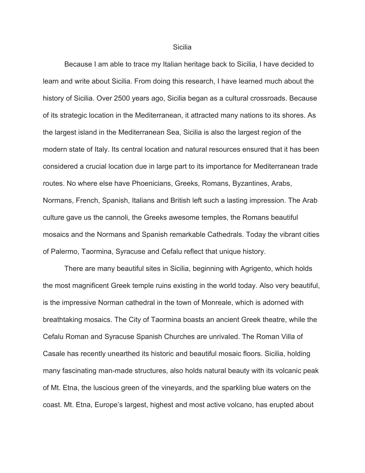## **Sicilia**

Because I am able to trace my Italian heritage back to Sicilia, I have decided to learn and write about Sicilia. From doing this research, I have learned much about the history of Sicilia. Over 2500 years ago, Sicilia began as a cultural crossroads. Because of its strategic location in the Mediterranean, it attracted many nations to its shores. As the largest island in the Mediterranean Sea, Sicilia is also the largest region of the modern state of Italy. Its central location and natural resources ensured that it has been considered a crucial location due in large part to its importance for Mediterranean trade routes. No where else have Phoenicians, Greeks, Romans, Byzantines, Arabs, Normans, French, Spanish, Italians and British left such a lasting impression. The Arab culture gave us the cannoli, the Greeks awesome temples, the Romans beautiful mosaics and the Normans and Spanish remarkable Cathedrals. Today the vibrant cities of Palermo, Taormina, Syracuse and Cefalu reflect that unique history.

There are many beautiful sites in Sicilia, beginning with Agrigento, which holds the most magnificent Greek temple ruins existing in the world today. Also very beautiful, is the impressive Norman cathedral in the town of Monreale, which is adorned with breathtaking mosaics. The City of Taormina boasts an ancient Greek theatre, while the Cefalu Roman and Syracuse Spanish Churches are unrivaled. The Roman Villa of Casale has recently unearthed its historic and beautiful mosaic floors. Sicilia, holding many fascinating man-made structures, also holds natural beauty with its volcanic peak of Mt. Etna, the luscious green of the vineyards, and the sparkling blue waters on the coast. Mt. Etna, Europe's largest, highest and most active volcano, has erupted about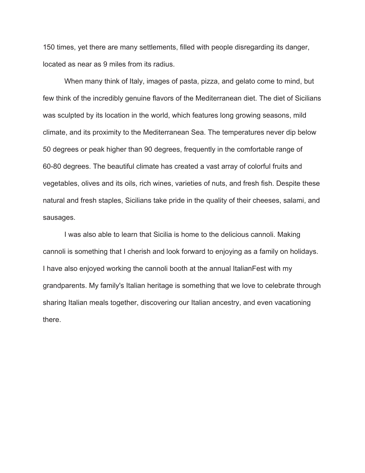150 times, yet there are many settlements, filled with people disregarding its danger, located as near as 9 miles from its radius.

When many think of Italy, images of pasta, pizza, and gelato come to mind, but few think of the incredibly genuine flavors of the Mediterranean diet. The diet of Sicilians was sculpted by its location in the world, which features long growing seasons, mild climate, and its proximity to the Mediterranean Sea. The temperatures never dip below 50 degrees or peak higher than 90 degrees, frequently in the comfortable range of 60-80 degrees. The beautiful climate has created a vast array of colorful fruits and vegetables, olives and its oils, rich wines, varieties of nuts, and fresh fish. Despite these natural and fresh staples, Sicilians take pride in the quality of their cheeses, salami, and sausages.

I was also able to learn that Sicilia is home to the delicious cannoli. Making cannoli is something that I cherish and look forward to enjoying as a family on holidays. I have also enjoyed working the cannoli booth at the annual ItalianFest with my grandparents. My family's Italian heritage is something that we love to celebrate through sharing Italian meals together, discovering our Italian ancestry, and even vacationing there.